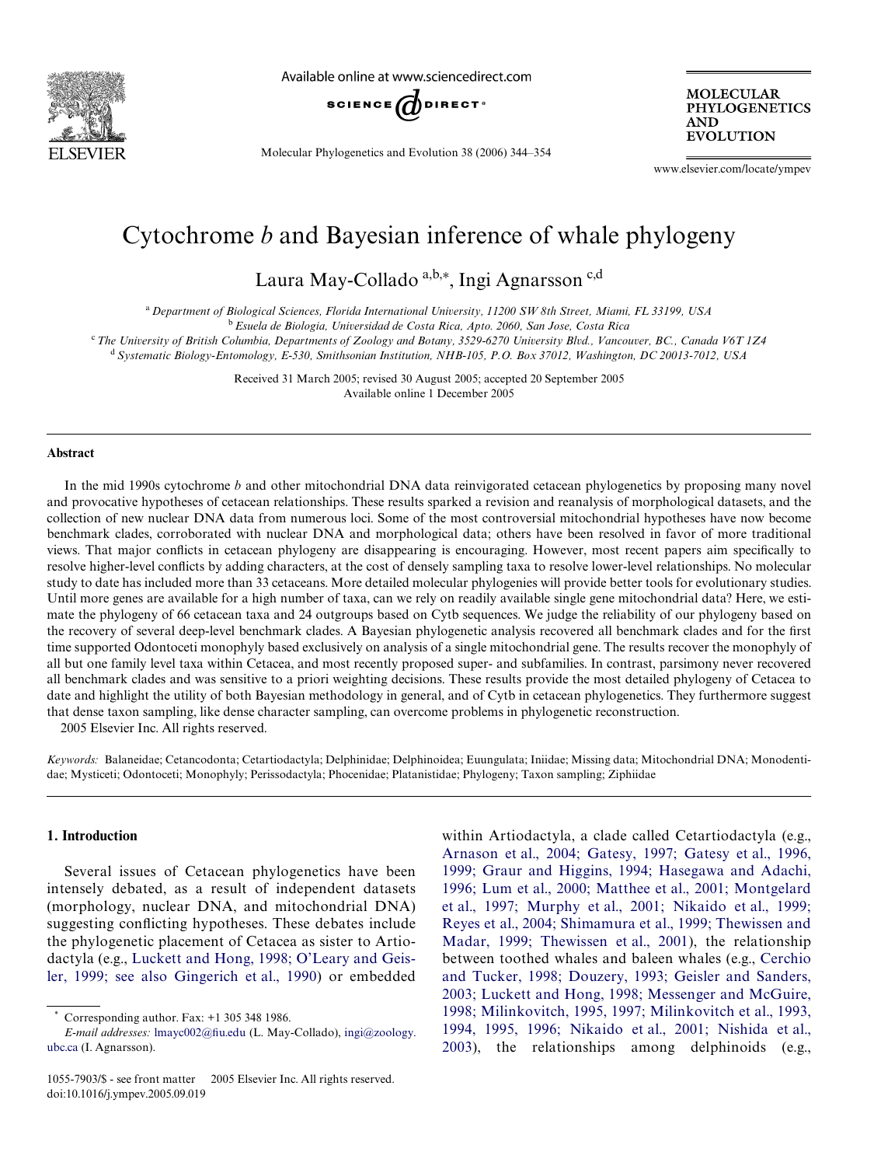

Available online at www.sciencedirect.com



Molecular Phylogenetics and Evolution 38 (2006) 344–354

**MOLECULAR PHYLOGENETICS AND EVOLUTION** 

www.elsevier.com/locate/ympev

# Cytochrome *b* and Bayesian inference of whale phylogeny

Laura May-Collado <sup>a,b,</sup>\*, Ingi Agnarsson <sup>c,d</sup>

<sup>a</sup>*Department of Biological Sciences, Florida International University, 11200 SW 8th Street, Miami, FL 33199, USA*

<sup>b</sup>*Esuela de Biologia, Universidad de Costa Rica, Apto. 2060, San Jose, Costa Rica*

<sup>c</sup>*The University of British Columbia, Departments of Zoology and Botany, 3529-6270 University Blvd., Vancouver, BC., Canada V6T 1Z4*

<sup>d</sup>*Systematic Biology-Entomology, E-530, Smithsonian Institution, NHB-105, P.O. Box 37012, Washington, DC 20013-7012, USA*

Received 31 March 2005; revised 30 August 2005; accepted 20 September 2005 Available online 1 December 2005

#### **Abstract**

In the mid 1990s cytochrome *b* and other mitochondrial DNA data reinvigorated cetacean phylogenetics by proposing many novel and provocative hypotheses of cetacean relationships. These results sparked a revision and reanalysis of morphological datasets, and the collection of new nuclear DNA data from numerous loci. Some of the most controversial mitochondrial hypotheses have now become benchmark clades, corroborated with nuclear DNA and morphological data; others have been resolved in favor of more traditional views. That major conflicts in cetacean phylogeny are disappearing is encouraging. However, most recent papers aim specifically to resolve higher-level conflicts by adding characters, at the cost of densely sampling taxa to resolve lower-level relationships. No molecular study to date has included more than 33 cetaceans. More detailed molecular phylogenies will provide better tools for evolutionary studies. Until more genes are available for a high number of taxa, can we rely on readily available single gene mitochondrial data? Here, we estimate the phylogeny of 66 cetacean taxa and 24 outgroups based on Cytb sequences. We judge the reliability of our phylogeny based on the recovery of several deep-level benchmark clades. A Bayesian phylogenetic analysis recovered all benchmark clades and for the first time supported Odontoceti monophyly based exclusively on analysis of a single mitochondrial gene. The results recover the monophyly of all but one family level taxa within Cetacea, and most recently proposed super- and subfamilies. In contrast, parsimony never recovered all benchmark clades and was sensitive to a priori weighting decisions. These results provide the most detailed phylogeny of Cetacea to date and highlight the utility of both Bayesian methodology in general, and of Cytb in cetacean phylogenetics. They furthermore suggest that dense taxon sampling, like dense character sampling, can overcome problems in phylogenetic reconstruction. 2005 Elsevier Inc. All rights reserved.

*Keywords:* Balaneidae; Cetancodonta; Cetartiodactyla; Delphinidae; Delphinoidea; Euungulata; Iniidae; Missing data; Mitochondrial DNA; Monodentidae; Mysticeti; Odontoceti; Monophyly; Perissodactyla; Phocenidae; Platanistidae; Phylogeny; Taxon sampling; Ziphiidae

## **1. Introduction**

Several issues of Cetacean phylogenetics have been intensely debated, as a result of independent datasets (morphology, nuclear DNA, and mitochondrial DNA) suggesting conflicting hypotheses. These debates include the phylogenetic placement of Cetacea as sister to Artiodactyla (e.g., [Luckett and Hong, 1998; O'Leary and Geis](#page-9-0)[ler, 1999; see also Gingerich et al., 1990\)](#page-9-0) or embedded within Artiodactyla, a clade called Cetartiodactyla (e.g., [A](#page-8-0)rnason et al., 2004; Gatesy, 1997; Gatesy et al., 1996, 1999; Graur and Higgins, 1994; Hasegawa and Adachi, 1996; Lum et al., 2000; Matthee et al., 2001; Montgelard [et al., 1997; Murphy et al., 2001; Nikaido et al., 1999;](#page-8-0) Reyes et al., 2004; Shimamura et al., 1999; Thewissen and [Madar, 1999; Thewissen et al., 2001](#page-8-0)), the relationship between toothed whales and baleen whales (e.g., [Cerchio](#page-9-1) and Tucker, 1998; Douzery, 1993; Geisler and Sanders, 2003; Luckett and Hong, 1998; Messenger and McGuire, 1998; Milinkovitch, 1995, 1997; Milinkovitch et al., 1993, [1994, 1995, 1996; Nikaido et al., 2001; Nishida et al.,](#page-9-1) [2003\)](#page-9-1), the relationships among delphinoids (e.g.,

Corresponding author. Fax:  $+1$  305 348 1986.

*E-mail addresses:* [lmayc002@](mailto: lmayc002@fiu.edu)fi[u.edu](mailto: lmayc002@fiu.edu) (L. May-Collado), [ingi@zoology.](mailto: ingi@zoology.ubc.ca) [ubc.ca](mailto: ingi@zoology.ubc.ca) (I. Agnarsson).

<sup>1055-7903/\$ -</sup> see front matter 2005 Elsevier Inc. All rights reserved. doi:10.1016/j.ympev.2005.09.019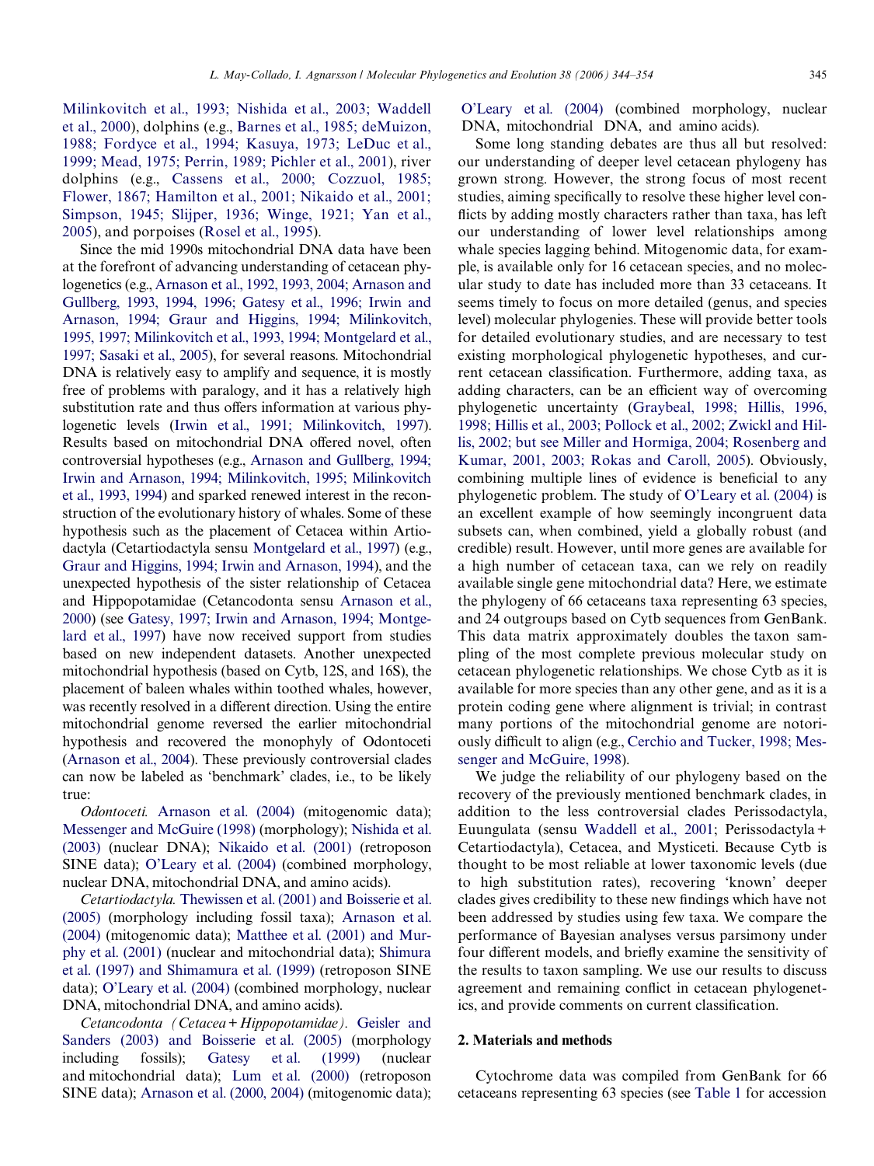[Milinkovitch et al., 1993; Nishida et al., 2003; Waddell](#page-9-2) [et al., 2000](#page-9-2)), dolphins (e.g., [Barnes et al., 1985; deMuizon,](#page-8-1) [1988; Fordyce et al., 1994; Kasuya, 1973; LeDuc et al.,](#page-8-1) [1999; Mead, 1975; Perrin, 1989; Pichler et al., 2001\)](#page-8-1), river dolphins (e.g., [Cassens et al., 2000; Cozzuol, 1985;](#page-9-3) Flower, 1867; Hamilton et al., 2001; Nikaido et al., 2001; [Simpson, 1945; Slijper, 1936; Winge, 1921; Yan et al.,](#page-9-3) [2005](#page-9-3)), and porpoises [\(Rosel et al., 1995](#page-10-0)).

Since the mid 1990s mitochondrial DNA data have been at the forefront of advancing understanding of cetacean phylogenetics (e.g., [Arnason et al., 1992, 1993, 2004; Arnason and](#page-8-2) Gullberg, 1993, 1994, 1996; Gatesy et al., 1996; Irwin and [Arnason, 1994; Graur and Higgins, 1994; Milinkovitch,](#page-8-2) 1995, 1997; Milinkovitch et al., 1993, 1994; Montgelard et al., [1997; Sasaki et al., 2005\)](#page-8-2), for several reasons. Mitochondrial DNA is relatively easy to amplify and sequence, it is mostly free of problems with paralogy, and it has a relatively high substitution rate and thus offers information at various phylogenetic levels ([Irwin et al., 1991; Milinkovitch, 1997\)](#page-9-4). Results based on mitochondrial DNA offered novel, often controversial hypotheses (e.g., [Arnason and Gullberg, 1994;](#page-8-3) [Irwin and Arnason, 1994; Milinkovitch, 1995; Milinkovitch](#page-8-3) [et al., 1993, 1994\)](#page-8-3) and sparked renewed interest in the reconstruction of the evolutionary history of whales. Some of these hypothesis such as the placement of Cetacea within Artiodactyla (Cetartiodactyla sensu [Montgelard et al., 1997](#page-9-5)) (e.g., [Graur and Higgins, 1994; Irwin and Arnason, 1994\)](#page-9-6), and the unexpected hypothesis of the sister relationship of Cetacea and Hippopotamidae (Cetancodonta sensu [Arnason et al.,](#page-8-4) [2000](#page-8-4)) (see [Gatesy, 1997; Irwin and Arnason, 1994; Montge](#page-9-7)[lard et al., 1997\)](#page-9-7) have now received support from studies based on new independent datasets. Another unexpected mitochondrial hypothesis (based on Cytb, 12S, and 16S), the placement of baleen whales within toothed whales, however, was recently resolved in a different direction. Using the entire mitochondrial genome reversed the earlier mitochondrial hypothesis and recovered the monophyly of Odontoceti ([Arnason et al., 2004](#page-8-0)). These previously controversial clades can now be labeled as 'benchmark' clades, i.e., to be likely true:

*Odontoceti.* [Arnason et al. \(2004\)](#page-8-0) (mitogenomic data); [Messenger and McGuire \(1998\)](#page-9-8) (morphology); [Nishida et al.](#page-10-1) [\(2003\)](#page-10-1) (nuclear DNA); [Nikaido et al. \(2001\)](#page-10-2) (retroposon SINE data); [O'Leary et al. \(2004\)](#page-10-3) (combined morphology, nuclear DNA, mitochondrial DNA, and amino acids).

*Cetartiodactyla.* [Thewissen et al. \(2001\) and Boisserie et al.](#page-10-4) [\(2005\)](#page-10-4) (morphology including fossil taxa); [Arnason et al.](#page-8-0) [\(2004\)](#page-8-0) (mitogenomic data); [Matthee et al. \(2001\) and Mur](#page-9-9)[phy et al. \(2001\)](#page-9-9) (nuclear and mitochondrial data); [Shimura](#page-10-5) [et al. \(1997\) and Shimamura et al. \(1999\)](#page-10-5) (retroposon SINE data); [O'Leary et al. \(2004\)](#page-10-3) (combined morphology, nuclear DNA, mitochondrial DNA, and amino acids).

*Cetancodonta (Cetacea + Hippopotamidae).* [Geisler and](#page-9-10) [Sanders \(2003\) and Boisserie et al. \(2005\)](#page-9-10) (morphology including fossils); [Gatesy et al. \(1999\)](#page-9-11) (nuclear and mitochondrial data); [Lum et al. \(2000\)](#page-9-12) (retroposon SINE data); [Arnason et al. \(2000, 2004\)](#page-8-4) (mitogenomic data); [O'Leary et al. \(2004\)](#page-10-3) (combined morphology, nuclear DNA, mitochondrial DNA, and amino acids).

Some long standing debates are thus all but resolved: our understanding of deeper level cetacean phylogeny has grown strong. However, the strong focus of most recent studies, aiming specifically to resolve these higher level conflicts by adding mostly characters rather than taxa, has left our understanding of lower level relationships among whale species lagging behind. Mitogenomic data, for example, is available only for 16 cetacean species, and no molecular study to date has included more than 33 cetaceans. It seems timely to focus on more detailed (genus, and species level) molecular phylogenies. These will provide better tools for detailed evolutionary studies, and are necessary to test existing morphological phylogenetic hypotheses, and current cetacean classification. Furthermore, adding taxa, as adding characters, can be an efficient way of overcoming phylogenetic uncertainty [\(Graybeal, 1998; Hillis, 1996,](#page-9-13) [1998; Hillis et al., 2003; Pollock et al., 2002; Zwickl and Hil](#page-9-13)lis, 2002; but see Miller and Hormiga, 2004; Rosenberg and [Kumar, 2001, 2003; Rokas and Caroll, 2005](#page-9-13)). Obviously, combining multiple lines of evidence is beneficial to any phylogenetic problem. The study of [O'Leary et al. \(2004\)](#page-10-3) is an excellent example of how seemingly incongruent data subsets can, when combined, yield a globally robust (and credible) result. However, until more genes are available for a high number of cetacean taxa, can we rely on readily available single gene mitochondrial data? Here, we estimate the phylogeny of 66 cetaceans taxa representing 63 species, and 24 outgroups based on Cytb sequences from GenBank. This data matrix approximately doubles the taxon sampling of the most complete previous molecular study on cetacean phylogenetic relationships. We chose Cytb as it is available for more species than any other gene, and as it is a protein coding gene where alignment is trivial; in contrast many portions of the mitochondrial genome are notori-ously difficult to align (e.g., [Cerchio and Tucker, 1998; Mes](#page-9-1)[senger and McGuire, 1998\)](#page-9-1).

We judge the reliability of our phylogeny based on the recovery of the previously mentioned benchmark clades, in addition to the less controversial clades Perissodactyla, Euungulata (sensu [Waddell et al., 2001](#page-10-4); Perissodactyla + Cetartiodactyla), Cetacea, and Mysticeti. Because Cytb is thought to be most reliable at lower taxonomic levels (due to high substitution rates), recovering 'known' deeper clades gives credibility to these new findings which have not been addressed by studies using few taxa. We compare the performance of Bayesian analyses versus parsimony under four different models, and briefly examine the sensitivity of the results to taxon sampling. We use our results to discuss agreement and remaining conflict in cetacean phylogenetics, and provide comments on current classification.

## **2. Materials and methods**

Cytochrome data was compiled from GenBank for 66 cetaceans representing 63 species (see [Table 1](#page-3-0) for accession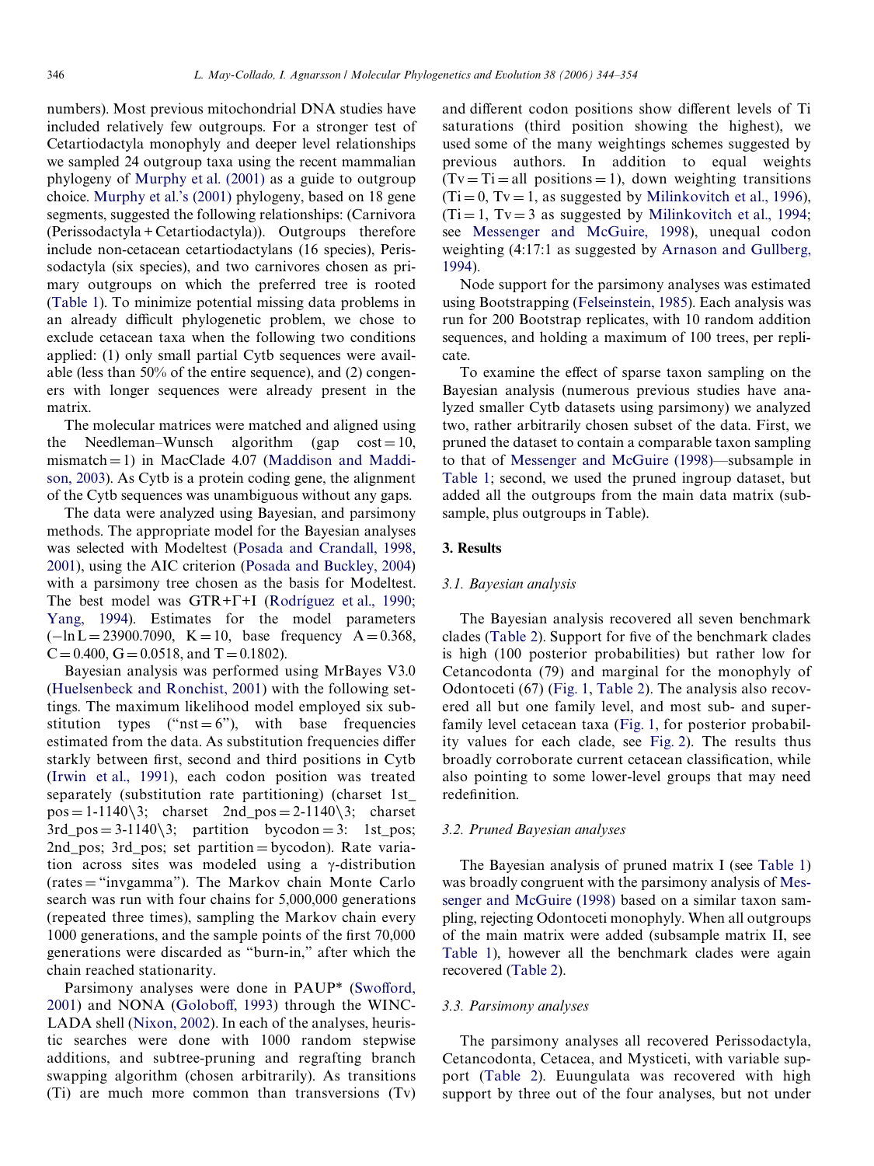numbers). Most previous mitochondrial DNA studies have included relatively few outgroups. For a stronger test of Cetartiodactyla monophyly and deeper level relationships we sampled 24 outgroup taxa using the recent mammalian phylogeny of [Murphy et al. \(2001\)](#page-9-15) as a guide to outgroup choice. [Murphy et al.'s \(2001\)](#page-9-15) phylogeny, based on 18 gene segments, suggested the following relationships: (Carnivora (Perissodactyla + Cetartiodactyla)). Outgroups therefore include non-cetacean cetartiodactylans (16 species), Perissodactyla (six species), and two carnivores chosen as primary outgroups on which the preferred tree is rooted [\(Table 1\)](#page-3-0). To minimize potential missing data problems in an already difficult phylogenetic problem, we chose to exclude cetacean taxa when the following two conditions applied: (1) only small partial Cytb sequences were available (less than 50% of the entire sequence), and (2) congeners with longer sequences were already present in the matrix.

The molecular matrices were matched and aligned using the Needleman–Wunsch algorithm (gap  $cost = 10$ , mismatch $=1$ ) in MacClade 4.07 ([Maddison and Maddi](#page-9-16)[son, 2003\)](#page-9-16). As Cytb is a protein coding gene, the alignment of the Cytb sequences was unambiguous without any gaps.

The data were analyzed using Bayesian, and parsimony methods. The appropriate model for the Bayesian analyses was selected with Modeltest [\(Posada and Crandall, 1998,](#page-10-6) [2001\)](#page-10-6), using the AIC criterion [\(Posada and Buckley, 2004\)](#page-10-7) with a parsimony tree chosen as the basis for Modeltest. The best model was  $GTR+ \Gamma+I$  [\(Rodríguez et al., 1990;](#page-10-8) [Yang, 1994](#page-10-8)). Estimates for the model parameters  $(-\ln L = 23900.7090, K = 10, base frequency A = 0.368,$  $C = 0.400$ ,  $G = 0.0518$ , and  $T = 0.1802$ .

Bayesian analysis was performed using MrBayes V3.0 [\(Huelsenbeck and Ronchist, 2001\)](#page-9-17) with the following settings. The maximum likelihood model employed six substitution types (" $nst = 6$ "), with base frequencies estimated from the data. As substitution frequencies differ starkly between first, second and third positions in Cytb [\(Irwin et al., 1991](#page-9-4)), each codon position was treated separately (substitution rate partitioning) (charset 1st\_  $pos = 1-1140\3$ ; charset 2nd  $pos = 2-1140\3$ ; charset  $3rd_pos = 3-1140\sqrt{3}$ ; partition bycodon = 3: 1st\_pos;  $2nd_pos$ ;  $3rd_pos$ ; set partition = bycodon). Rate variation across sites was modeled using a  $\gamma$ -distribution  $(rates = "invgamma").$  The Markov chain Monte Carlo search was run with four chains for 5,000,000 generations (repeated three times), sampling the Markov chain every 1000 generations, and the sample points of the first 70,000 generations were discarded as "burn-in," after which the chain reached stationarity.

Parsimony analyses were done in PAUP\* ([Swo](#page-10-10)ff[ord,](#page-10-10)  $2001$ ) and NONA ([Golobo](#page-9-18)ff[, 1993](#page-9-18)) through the WINC-LADA shell ([Nixon, 2002](#page-10-9)). In each of the analyses, heuristic searches were done with 1000 random stepwise additions, and subtree-pruning and regrafting branch swapping algorithm (chosen arbitrarily). As transitions (Ti) are much more common than transversions (Tv) and different codon positions show different levels of Ti saturations (third position showing the highest), we used some of the many weightings schemes suggested by previous authors. In addition to equal weights  $(Tv = Ti = all positions = 1)$ , down weighting transitions  $(Ti = 0, Tv = 1, as suggested by Milinkovitch et al., 1996),$  $(Ti = 0, Tv = 1, as suggested by Milinkovitch et al., 1996),$  $(Ti = 0, Tv = 1, as suggested by Milinkovitch et al., 1996),$  $(Ti = 1, Tv = 3 as suggested by Milinkovitch et al., 1994;$  $(Ti = 1, Tv = 3 as suggested by Milinkovitch et al., 1994;$ see [Messenger and McGuire, 1998\)](#page-9-14), unequal codon weighting (4:17:1 as suggested by [Arnason and Gullberg,](#page-8-3) [1994\)](#page-8-3).

Node support for the parsimony analyses was estimated using Bootstrapping ([Felseinstein, 1985](#page-9-21)). Each analysis was run for 200 Bootstrap replicates, with 10 random addition sequences, and holding a maximum of 100 trees, per replicate.

To examine the effect of sparse taxon sampling on the Bayesian analysis (numerous previous studies have analyzed smaller Cytb datasets using parsimony) we analyzed two, rather arbitrarily chosen subset of the data. First, we pruned the dataset to contain a comparable taxon sampling to that of [Messenger and McGuire \(1998\)](#page-9-14)—subsample in [Table 1](#page-3-0); second, we used the pruned ingroup dataset, but added all the outgroups from the main data matrix (subsample, plus outgroups in Table).

#### **3. Results**

#### *3.1. Bayesian analysis*

The Bayesian analysis recovered all seven benchmark clades ([Table 2](#page-4-0)). Support for five of the benchmark clades is high (100 posterior probabilities) but rather low for Cetancodonta (79) and marginal for the monophyly of Odontoceti (67) ([Fig. 1](#page-5-0), [Table 2](#page-4-0)). The analysis also recovered all but one family level, and most sub- and superfamily level cetacean taxa ([Fig. 1,](#page-5-0) for posterior probability values for each clade, see [Fig. 2](#page-6-0)). The results thus broadly corroborate current cetacean classification, while also pointing to some lower-level groups that may need redefinition.

#### *3.2. Pruned Bayesian analyses*

The Bayesian analysis of pruned matrix I (see [Table 1](#page-3-0)) was broadly congruent with the parsimony analysis of [Mes](#page-9-14)[senger and McGuire \(1998\)](#page-9-14) based on a similar taxon sampling, rejecting Odontoceti monophyly. When all outgroups of the main matrix were added (subsample matrix II, see [Table 1\)](#page-3-0), however all the benchmark clades were again recovered [\(Table 2](#page-4-0)).

## *3.3. Parsimony analyses*

The parsimony analyses all recovered Perissodactyla, Cetancodonta, Cetacea, and Mysticeti, with variable support ([Table 2](#page-4-0)). Euungulata was recovered with high support by three out of the four analyses, but not under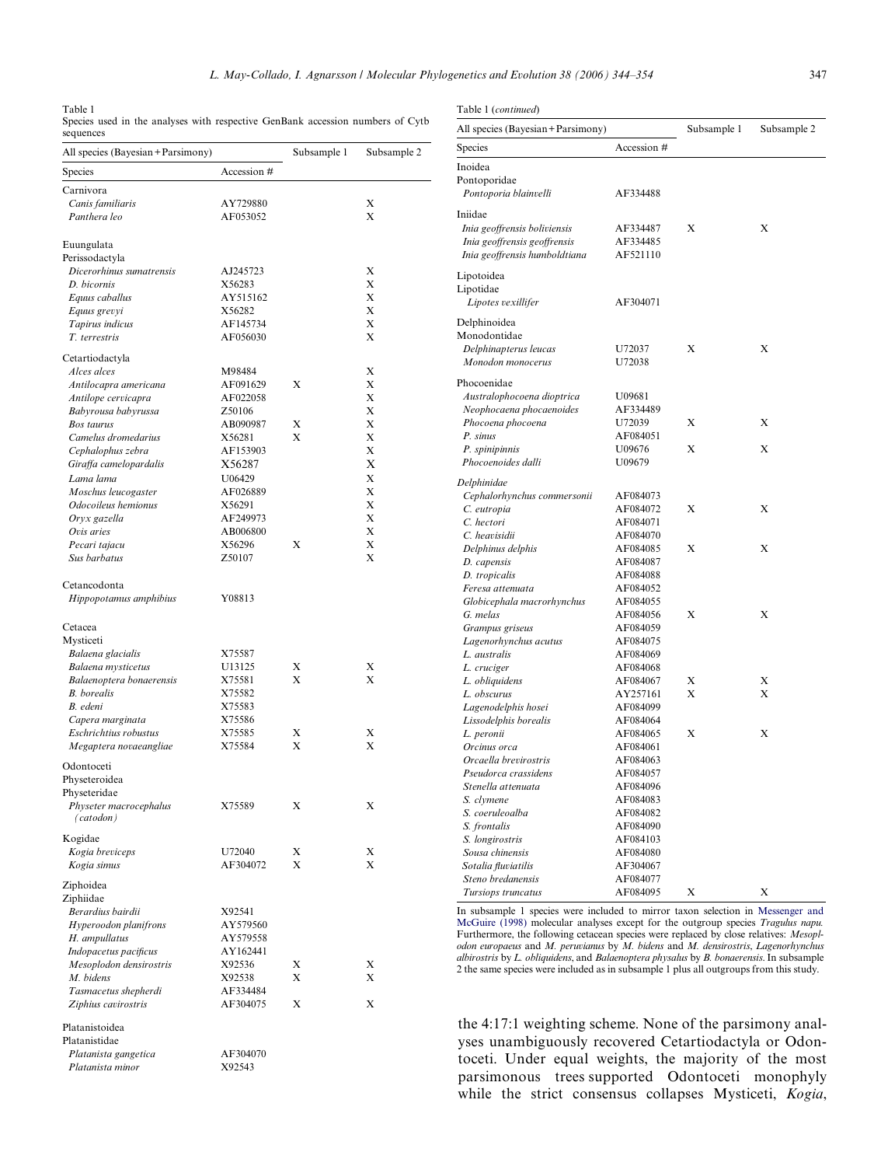Table 1 (*continued*)

<span id="page-3-0"></span>Table 1

Species used in the analyses with respective GenBank accession numbers of Cytb sequences

| All species (Bayesian + Parsimony)               | Subsample 1        | Subsample 2 |        |
|--------------------------------------------------|--------------------|-------------|--------|
| Species                                          | Accession #        |             |        |
| Carnivora                                        |                    |             |        |
| Canis familiaris                                 | AY729880           |             | Х      |
| Panthera leo                                     | AF053052           |             | X      |
|                                                  |                    |             |        |
| Euungulata<br>Perissodactyla                     |                    |             |        |
| Dicerorhinus sumatrensis                         | AJ245723           |             | Х      |
| D. bicornis                                      | X56283             |             | X      |
| Equus caballus                                   | AY515162           |             | X      |
| Equus grevyi                                     | X56282             |             | Х      |
| Tapirus indicus                                  | AF145734           |             | X      |
| T. terrestris                                    | AF056030           |             | X      |
| Cetartiodactyla                                  |                    |             |        |
| Alces alces                                      | M98484             |             | X      |
| Antilocapra americana                            | AF091629           | Х           | X      |
| Antilope cervicapra                              | AF022058           |             | X      |
| Babyrousa babyrussa                              | Z50106             |             | X      |
| <b>Bos</b> taurus                                | AB090987           | Х           | X      |
| Camelus dromedarius                              | X56281             | X           | X      |
| Cephalophus zebra                                | AF153903           |             | X      |
| Giraffa camelopardalis                           | X56287             |             | Х      |
| Lama lama                                        | U06429             |             | X      |
| Moschus leucogaster<br>Odocoileus hemionus       | AF026889<br>X56291 |             | X<br>X |
| Oryx gazella                                     | AF249973           |             | X      |
| Ovis aries                                       | AB006800           |             | X      |
| Pecari tajacu                                    | X56296             | X           | X      |
| Sus barbatus                                     | Z50107             |             | X      |
|                                                  |                    |             |        |
| Cetancodonta<br>Hippopotamus amphibius           | Y08813             |             |        |
|                                                  |                    |             |        |
| Cetacea                                          |                    |             |        |
| Mysticeti                                        |                    |             |        |
| Balaena glacialis                                | X75587             |             |        |
| Balaena mysticetus                               | U13125             | Х           | Х      |
| Balaenoptera bonaerensis<br><b>B.</b> borealis   | X75581             | X           | X      |
| B. edeni                                         | X75582<br>X75583   |             |        |
| Capera marginata                                 | X75586             |             |        |
| Eschrichtius robustus                            | X75585             | Х           | Х      |
| Megaptera novaeangliae                           | X75584             | X           | X      |
| Odontoceti                                       |                    |             |        |
| Physeteroidea                                    |                    |             |        |
| Physeteridae                                     |                    |             |        |
| Physeter macrocephalus                           | X75589             | Х           | Х      |
| (catodon)                                        |                    |             |        |
| Kogidae                                          |                    |             |        |
| Kogia breviceps                                  | U72040             | Х           | Х      |
| Kogia simus                                      | AF304072           | X           | X      |
| Ziphoidea                                        |                    |             |        |
| Ziphiidae                                        |                    |             |        |
| Berardius bairdii                                | X92541             |             |        |
| Hyperoodon planifrons                            | AY579560           |             |        |
| H. ampullatus                                    | AY579558           |             |        |
| Indopacetus pacificus<br>Mesoplodon densirostris | AY162441<br>X92536 | Х           | Х      |
| M. bidens                                        | X92538             | Х           | Х      |
| Tasmacetus shepherdi                             | AF334484           |             |        |
| Ziphius cavirostris                              | AF304075           | Х           | Х      |
| Platanistoidea                                   |                    |             |        |
| Platanistidae                                    |                    |             |        |
| Platanista gangetica                             | AF304070           |             |        |
| Platanista minor                                 | X92543             |             |        |

| All species (Bayesian + Parsimony)                           |                      | Subsample 1 | Subsample 2 |  |
|--------------------------------------------------------------|----------------------|-------------|-------------|--|
| Species                                                      | Accession #          |             |             |  |
| Inoidea                                                      |                      |             |             |  |
| Pontoporidae                                                 |                      |             |             |  |
| Pontoporia blainvelli                                        | AF334488             |             |             |  |
| Iniidae                                                      |                      |             |             |  |
|                                                              |                      | X           | Х           |  |
| Inia geoffrensis boliviensis<br>Inia geoffrensis geoffrensis | AF334487<br>AF334485 |             |             |  |
| Inia geoffrensis humboldtiana                                | AF521110             |             |             |  |
|                                                              |                      |             |             |  |
| Lipotoidea                                                   |                      |             |             |  |
| Lipotidae                                                    |                      |             |             |  |
| Lipotes vexillifer                                           | AF304071             |             |             |  |
| Delphinoidea                                                 |                      |             |             |  |
| Monodontidae                                                 |                      |             |             |  |
| Delphinapterus leucas                                        | U72037               | X           | X           |  |
| Monodon monocerus                                            | U72038               |             |             |  |
| Phocoenidae                                                  |                      |             |             |  |
| Australophocoena dioptrica                                   | U09681               |             |             |  |
| Neophocaena phocaenoides                                     | AF334489             |             |             |  |
| Phocoena phocoena                                            | U72039               | Х           | Х           |  |
| P. sinus                                                     | AF084051             |             |             |  |
| P. spinipinnis                                               | U09676               | X           | Х           |  |
| Phocoenoides dalli                                           | U09679               |             |             |  |
| Delphinidae                                                  |                      |             |             |  |
| Cephalorhynchus commersonii                                  | AF084073             |             |             |  |
| C. eutropia                                                  | AF084072             | X           | X           |  |
| C. hectori                                                   | AF084071             |             |             |  |
| C. heavisidii                                                | AF084070             |             |             |  |
| Delphinus delphis                                            | AF084085             | X           | Х           |  |
| D. capensis                                                  | AF084087             |             |             |  |
| D. tropicalis                                                | AF084088             |             |             |  |
| Feresa attenuata                                             | AF084052             |             |             |  |
| Globicephala macrorhynchus                                   | AF084055             |             |             |  |
| G. melas                                                     | AF084056             | X           | X           |  |
| Grampus griseus<br>Lagenorhynchus acutus                     | AF084059<br>AF084075 |             |             |  |
| L. australis                                                 | AF084069             |             |             |  |
| L. cruciger                                                  | AF084068             |             |             |  |
| L. obliquidens                                               | AF084067             | Х           | Х           |  |
| L. obscurus                                                  | AY257161             | X           | X           |  |
| Lagenodelphis hosei                                          | AF084099             |             |             |  |
| Lissodelphis borealis                                        | AF084064             |             |             |  |
| L. peronii                                                   | AF084065             | X           | X           |  |
| Orcinus orca                                                 | AF084061             |             |             |  |
| Orcaella brevirostris                                        | AF084063             |             |             |  |
| Pseudorca crassidens                                         | AF084057             |             |             |  |
| Stenella attenuata                                           | AF084096             |             |             |  |
| S. clymene                                                   | AF084083             |             |             |  |
| S. coeruleoalba                                              | AF084082             |             |             |  |
| S. frontalis<br>S. longirostris                              | AF084090<br>AF084103 |             |             |  |
| Sousa chinensis                                              | AF084080             |             |             |  |
| Sotalia fluviatilis                                          | AF304067             |             |             |  |
| Steno bredanensis                                            | AF084077             |             |             |  |
| Tursiops truncatus                                           | AF084095             | X           | Х           |  |

In subsample 1 species were included to mirror taxon selection in [Messenger and](#page-9-14) [McGuire \(1998\)](#page-9-14) molecular analyses except for the outgroup species *Tragulus napu.* Furthermore, the following cetacean species were replaced by close relatives: *Mesoplodon europaeus* and *M. peruvianus* by *M. bidens* and *M. densirostris*, *Lagenorhynchus albirostris* by *L. obliquidens*, and *Balaenoptera physalus* by *B. bonaerensis*. In subsample 2 the same species were included as in subsample 1 plus all outgroups from this study.

the 4:17:1 weighting scheme. None of the parsimony analyses unambiguously recovered Cetartiodactyla or Odontoceti. Under equal weights, the majority of the most parsimonous trees supported Odontoceti monophyly while the strict consensus collapses Mysticeti, *Kogia*,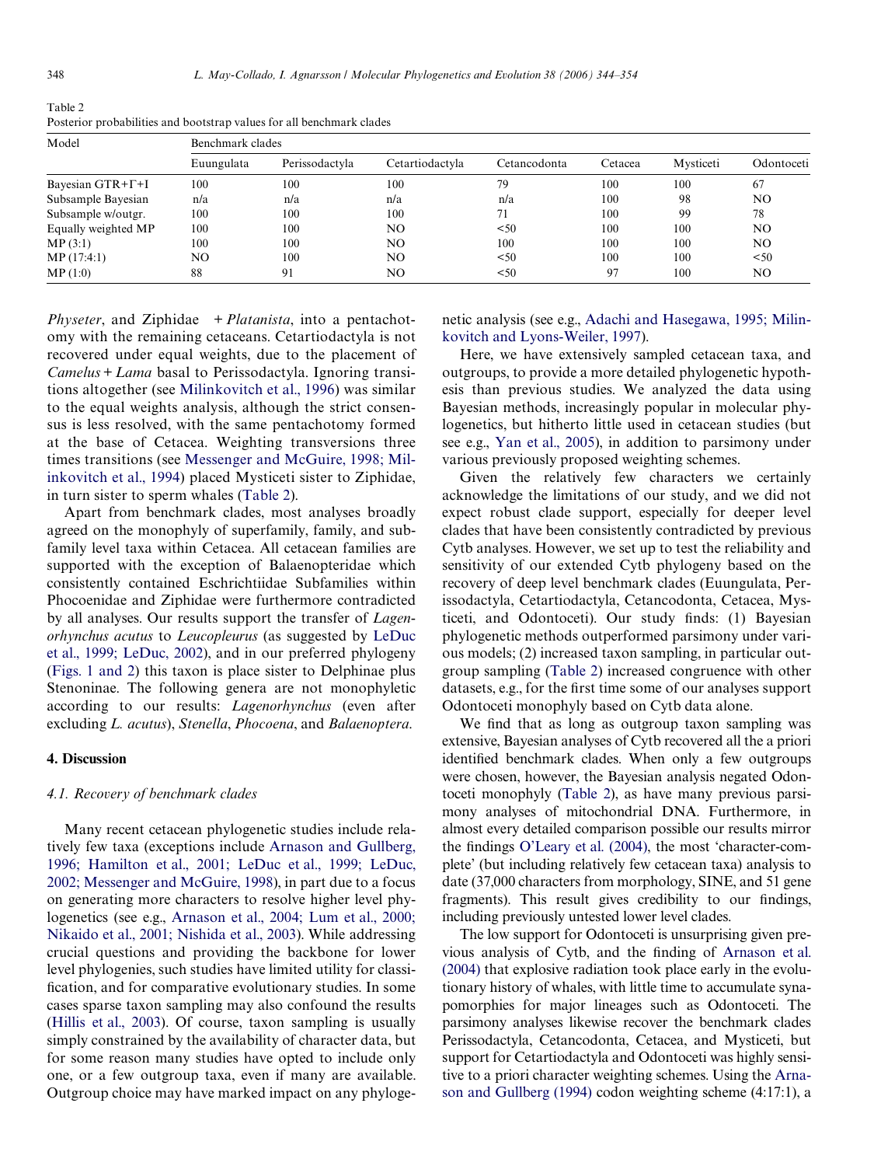<span id="page-4-0"></span>Table 2 Posterior probabilities and bootstrap values for all benchmark clades

|            | Benchmark clades |                 |              |         |           |                |  |  |
|------------|------------------|-----------------|--------------|---------|-----------|----------------|--|--|
| Euungulata | Perissodactvla   | Cetartiodactyla | Cetancodonta | Cetacea | Mysticeti | Odontoceti     |  |  |
| 100        | 100              | 100             | 79           | 100     | 100       | 67             |  |  |
| n/a        | n/a              | n/a             | n/a          | 100     | 98        | N <sub>O</sub> |  |  |
| 100        | 100              | 100             | 71           | 100     | 99        | 78             |  |  |
| 100        | 100              | NO              | $50$         | 100     | 100       | N <sub>O</sub> |  |  |
| 100        | 100              | NO              | 100          | 100     | 100       | N <sub>O</sub> |  |  |
| NO         | 100              | NO              | $50$         | 100     | 100       | $50$           |  |  |
| 88         | 91               | NO              | $50$         | 97      | 100       | N <sub>O</sub> |  |  |
|            |                  |                 |              |         |           |                |  |  |

*Physeter*, and Ziphidae + *Platanista*, into a pentachotomy with the remaining cetaceans. Cetartiodactyla is not recovered under equal weights, due to the placement of *Camelus* + *Lama* basal to Perissodactyla. Ignoring transitions altogether (see [Milinkovitch et al., 1996](#page-9-19)) was similar to the equal weights analysis, although the strict consensus is less resolved, with the same pentachotomy formed at the base of Cetacea. Weighting transversions three times transitions (see [Messenger and McGuire, 1998; Mil](#page-9-14)[inkovitch et al., 1994\)](#page-9-14) placed Mysticeti sister to Ziphidae, in turn sister to sperm whales [\(Table 2\)](#page-4-0).

Apart from benchmark clades, most analyses broadly agreed on the monophyly of superfamily, family, and subfamily level taxa within Cetacea. All cetacean families are supported with the exception of Balaenopteridae which consistently contained Eschrichtiidae Subfamilies within Phocoenidae and Ziphidae were furthermore contradicted by all analyses. Our results support the transfer of *Lagenorhynchus acutus* to *Leucopleurus* (as suggested by [LeDuc](#page-9-22) [et al., 1999; LeDuc, 2002](#page-9-22)), and in our preferred phylogeny [\(Figs. 1 and 2\)](#page-5-0) this taxon is place sister to Delphinae plus Stenoninae. The following genera are not monophyletic according to our results: *Lagenorhynchus* (even after excluding *L. acutus*), *Stenella*, *Phocoena*, and *Balaenoptera*.

# **4. Discussion**

## *4.1. Recovery of benchmark clades*

Many recent cetacean phylogenetic studies include relatively few taxa (exceptions include [Arnason and Gullberg,](#page-8-5) [1996; Hamilton et al., 2001; LeDuc et al., 1999; LeDuc,](#page-8-5) [2002; Messenger and McGuire, 1998](#page-8-5)), in part due to a focus on generating more characters to resolve higher level phylogenetics (see e.g., [Arnason et al., 2004; Lum et al., 2000;](#page-8-0) [Nikaido et al., 2001; Nishida et al., 2003\)](#page-8-0). While addressing crucial questions and providing the backbone for lower level phylogenies, such studies have limited utility for classification, and for comparative evolutionary studies. In some cases sparse taxon sampling may also confound the results [\(Hillis et al., 2003\)](#page-9-23). Of course, taxon sampling is usually simply constrained by the availability of character data, but for some reason many studies have opted to include only one, or a few outgroup taxa, even if many are available. Outgroup choice may have marked impact on any phylogenetic analysis (see e.g., [Adachi and Hasegawa, 1995; Milin](#page-8-6)[kovitch and Lyons-Weiler, 1997\)](#page-8-6).

Here, we have extensively sampled cetacean taxa, and outgroups, to provide a more detailed phylogenetic hypothesis than previous studies. We analyzed the data using Bayesian methods, increasingly popular in molecular phylogenetics, but hitherto little used in cetacean studies (but see e.g., [Yan et al., 2005](#page-10-11)), in addition to parsimony under various previously proposed weighting schemes.

Given the relatively few characters we certainly acknowledge the limitations of our study, and we did not expect robust clade support, especially for deeper level clades that have been consistently contradicted by previous Cytb analyses. However, we set up to test the reliability and sensitivity of our extended Cytb phylogeny based on the recovery of deep level benchmark clades (Euungulata, Perissodactyla, Cetartiodactyla, Cetancodonta, Cetacea, Mysticeti, and Odontoceti). Our study finds: (1) Bayesian phylogenetic methods outperformed parsimony under various models; (2) increased taxon sampling, in particular outgroup sampling ([Table 2](#page-4-0)) increased congruence with other datasets, e.g., for the first time some of our analyses support Odontoceti monophyly based on Cytb data alone.

We find that as long as outgroup taxon sampling was extensive, Bayesian analyses of Cytb recovered all the a priori identified benchmark clades. When only a few outgroups were chosen, however, the Bayesian analysis negated Odontoceti monophyly [\(Table 2\)](#page-4-0), as have many previous parsimony analyses of mitochondrial DNA. Furthermore, in almost every detailed comparison possible our results mirror the findings [O'Leary et al. \(2004\)](#page-10-12), the most 'character-complete' (but including relatively few cetacean taxa) analysis to date (37,000 characters from morphology, SINE, and 51 gene fragments). This result gives credibility to our findings, including previously untested lower level clades.

The low support for Odontoceti is unsurprising given pre-vious analysis of Cytb, and the finding of [Arnason et al.](#page-8-0) [\(2004\)](#page-8-0) that explosive radiation took place early in the evolutionary history of whales, with little time to accumulate synapomorphies for major lineages such as Odontoceti. The parsimony analyses likewise recover the benchmark clades Perissodactyla, Cetancodonta, Cetacea, and Mysticeti, but support for Cetartiodactyla and Odontoceti was highly sensitive to a priori character weighting schemes. Using the [Arna](#page-8-3)[son and Gullberg \(1994\)](#page-8-3) codon weighting scheme (4:17:1), a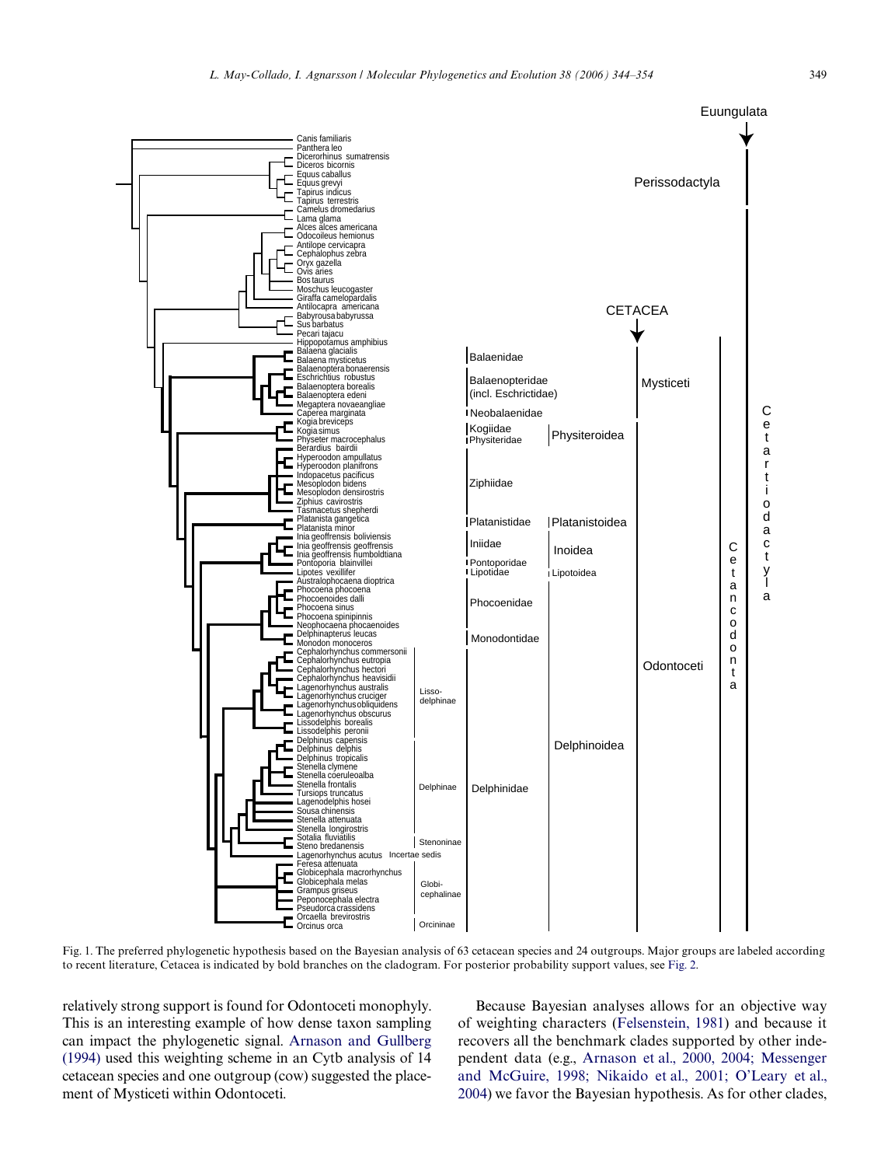

<span id="page-5-0"></span>Fig. 1. The preferred phylogenetic hypothesis based on the Bayesian analysis of 63 cetacean species and 24 outgroups. Major groups are labeled according to recent literature, Cetacea is indicated by bold branches on the cladogram. For posterior probability support values, see [Fig. 2](#page-6-0).

relatively strong support is found for Odontoceti monophyly. This is an interesting example of how dense taxon sampling can impact the phylogenetic signal. [Arnason and Gullberg](#page-8-3) [\(1994\)](#page-8-3) used this weighting scheme in an Cytb analysis of 14 cetacean species and one outgroup (cow) suggested the placement of Mysticeti within Odontoceti.

Because Bayesian analyses allows for an objective way of weighting characters [\(Felsenstein, 1981\)](#page-9-24) and because it recovers all the benchmark clades supported by other independent data (e.g., [Arnason et al., 2000, 2004; Messenger](#page-8-4) [and McGuire, 1998; Nikaido et al., 2001; O'Leary et al.,](#page-8-4) [2004\)](#page-8-4) we favor the Bayesian hypothesis. As for other clades,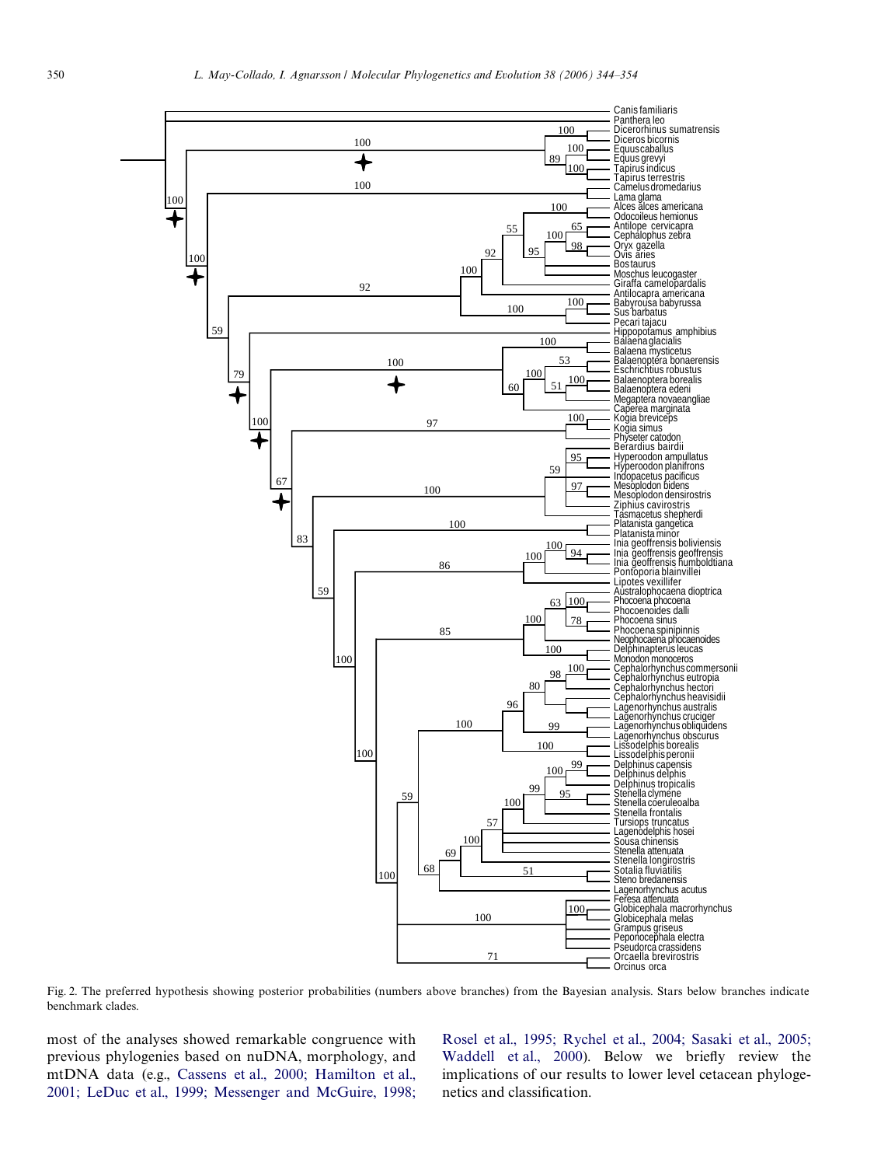

<span id="page-6-0"></span>Fig. 2. The preferred hypothesis showing posterior probabilities (numbers above branches) from the Bayesian analysis. Stars below branches indicate benchmark clades.

most of the analyses showed remarkable congruence with previous phylogenies based on nuDNA, morphology, and mtDNA data (e.g., [Cassens et al., 2000; Hamilton et al.,](#page-9-3) [2001; LeDuc et al., 1999; Messenger and McGuire, 1998;](#page-9-3)

[Rosel et al., 1995; Rychel et al., 2004; Sasaki et al., 2005;](#page-9-3) [Waddell et al., 2000](#page-9-3)). Below we briefly review the implications of our results to lower level cetacean phylogenetics and classification.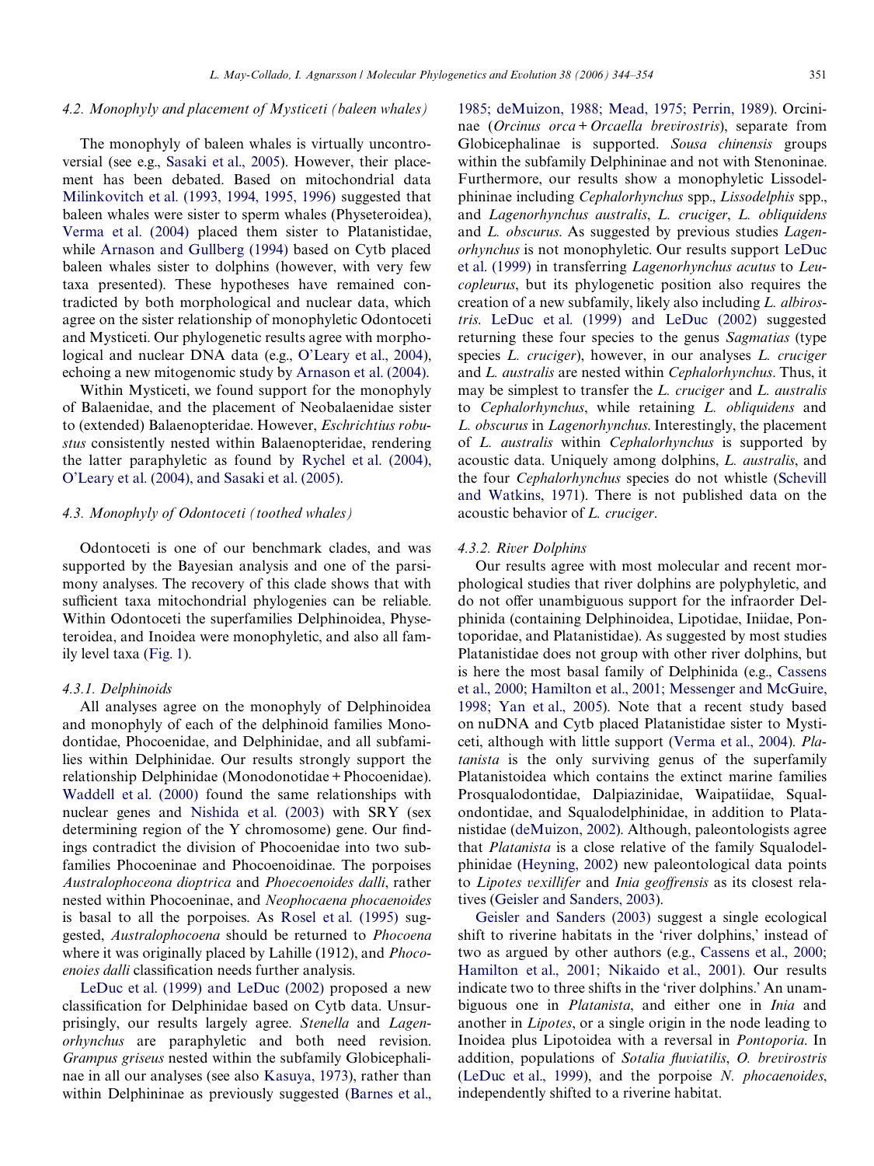# *4.2. Monophyly and placement of Mysticeti (baleen whales)*

The monophyly of baleen whales is virtually uncontroversial (see e.g., [Sasaki et al., 2005\)](#page-10-13). However, their placement has been debated. Based on mitochondrial data [Milinkovitch et al. \(1993, 1994, 1995, 1996\)](#page-9-2) suggested that baleen whales were sister to sperm whales (Physeteroidea), [Verma et al. \(2004\)](#page-10-10) placed them sister to Platanistidae, while [Arnason and Gullberg \(1994\)](#page-8-3) based on Cytb placed baleen whales sister to dolphins (however, with very few taxa presented). These hypotheses have remained contradicted by both morphological and nuclear data, which agree on the sister relationship of monophyletic Odontoceti and Mysticeti. Our phylogenetic results agree with morphological and nuclear DNA data (e.g., [O'Leary et al., 2004](#page-10-12)), echoing a new mitogenomic study by [Arnason et al. \(2004\)](#page-8-0).

Within Mysticeti, we found support for the monophyly of Balaenidae, and the placement of Neobalaenidae sister to (extended) Balaenopteridae. However, *Eschrichtius robustus* consistently nested within Balaenopteridae, rendering the latter paraphyletic as found by [Rychel et al. \(2004\),](#page-10-14) [O'Leary et al. \(2004\), and Sasaki et al. \(2005\).](#page-10-14)

## *4.3. Monophyly of Odontoceti (toothed whales)*

Odontoceti is one of our benchmark clades, and was supported by the Bayesian analysis and one of the parsimony analyses. The recovery of this clade shows that with sufficient taxa mitochondrial phylogenies can be reliable. Within Odontoceti the superfamilies Delphinoidea, Physeteroidea, and Inoidea were monophyletic, and also all family level taxa [\(Fig. 1](#page-5-0)).

#### *4.3.1. Delphinoids*

All analyses agree on the monophyly of Delphinoidea and monophyly of each of the delphinoid families Monodontidae, Phocoenidae, and Delphinidae, and all subfamilies within Delphinidae. Our results strongly support the relationship Delphinidae (Monodonotidae + Phocoenidae). [Waddell et al. \(2000\)](#page-10-15) found the same relationships with nuclear genes and [Nishida et al. \(2003\)](#page-10-2) with SRY (sex determining region of the Y chromosome) gene. Our findings contradict the division of Phocoenidae into two subfamilies Phocoeninae and Phocoenoidinae. The porpoises *Australophoceona dioptrica* and *Phoecoenoides dalli*, rather nested within Phocoeninae, and *Neophocaena phocaenoides* is basal to all the porpoises. As [Rosel et al. \(1995\)](#page-10-0) suggested, *Australophocoena* should be returned to *Phocoena* where it was originally placed by Lahille (1912), and *Phocoenoies dalli* classification needs further analysis.

[LeDuc et al. \(1999\) and LeDuc \(2002\)](#page-9-22) proposed a new classification for Delphinidae based on Cytb data. Unsurprisingly, our results largely agree. *Stenella* and *Lagenorhynchus* are paraphyletic and both need revision. *Grampus griseus* nested within the subfamily Globicephalinae in all our analyses (see also [Kasuya, 1973](#page-9-25)), rather than within Delphininae as previously suggested ([Barnes et al.,](#page-8-1)

[1985; deMuizon, 1988; Mead, 1975; Perrin, 1989](#page-8-1)). Orcininae (*Orcinus orca*+*Orcaella brevirostris*), separate from Globicephalinae is supported. *Sousa chinensis* groups within the subfamily Delphininae and not with Stenoninae. Furthermore, our results show a monophyletic Lissodelphininae including *Cephalorhynchus* spp., *Lissodelphis* spp., and *Lagenorhynchus australis*, *L. cruciger*, *L. obliquidens* and *L. obscurus*. As suggested by previous studies *Lagenorhynchus* is not monophyletic. Our results support [LeDuc](#page-9-22) [et al. \(1999\)](#page-9-22) in transferring *Lagenorhynchus acutus* to *Leucopleurus*, but its phylogenetic position also requires the creation of a new subfamily, likely also including *L. albirostris*. [LeDuc et al. \(1999\) and LeDuc \(2002\)](#page-9-22) suggested returning these four species to the genus *Sagmatias* (type species *L. cruciger*), however, in our analyses *L. cruciger* and *L. australis* are nested within *Cephalorhynchus*. Thus, it may be simplest to transfer the *L. cruciger* and *L. australis* to *Cephalorhynchus*, while retaining *L. obliquidens* and *L. obscurus* in *Lagenorhynchus*. Interestingly, the placement of *L. australis* within *Cephalorhynchus* is supported by acoustic data. Uniquely among dolphins, *L. australis*, and the four *Cephalorhynchus* species do not whistle [\(Schevill](#page-10-16) [and Watkins, 1971](#page-10-16)). There is not published data on the acoustic behavior of *L. cruciger*.

## *4.3.2. River Dolphins*

Our results agree with most molecular and recent morphological studies that river dolphins are polyphyletic, and do not offer unambiguous support for the infraorder Delphinida (containing Delphinoidea, Lipotidae, Iniidae, Pontoporidae, and Platanistidae). As suggested by most studies Platanistidae does not group with other river dolphins, but is here the most basal family of Delphinida (e.g., [Cassens](#page-9-3) [et al., 2000; Hamilton et al., 2001; Messenger and McGuire,](#page-9-3) [1998; Yan et al., 2005](#page-9-3)). Note that a recent study based on nuDNA and Cytb placed Platanistidae sister to Mysticeti, although with little support [\(Verma et al., 2004\)](#page-10-10). *Platanista* is the only surviving genus of the superfamily Platanistoidea which contains the extinct marine families Prosqualodontidae, Dalpiazinidae, Waipatiidae, Squalondontidae, and Squalodelphinidae, in addition to Platanistidae [\(deMuizon, 2002\)](#page-9-26). Although, paleontologists agree that *Platanista* is a close relative of the family Squalodelphinidae ([Heyning, 2002\)](#page-9-27) new paleontological data points to *Lipotes vexillifer* and *Inia geoffrensis* as its closest relatives [\(Geisler and Sanders, 2003\)](#page-9-10).

[Geisler and Sanders \(2003\)](#page-9-10) suggest a single ecological shift to riverine habitats in the 'river dolphins,' instead of two as argued by other authors (e.g., [Cassens et al., 2000;](#page-9-3) [Hamilton et al., 2001; Nikaido et al., 2001\)](#page-9-3). Our results indicate two to three shifts in the 'river dolphins.' An unambiguous one in *Platanista*, and either one in *Inia* and another in *Lipotes*, or a single origin in the node leading to Inoidea plus Lipotoidea with a reversal in *Pontoporia*. In addition, populations of *Sotalia fluviatilis*, *O. brevirostris* [\(LeDuc et al., 1999](#page-9-22)), and the porpoise *N. phocaenoides*, independently shifted to a riverine habitat.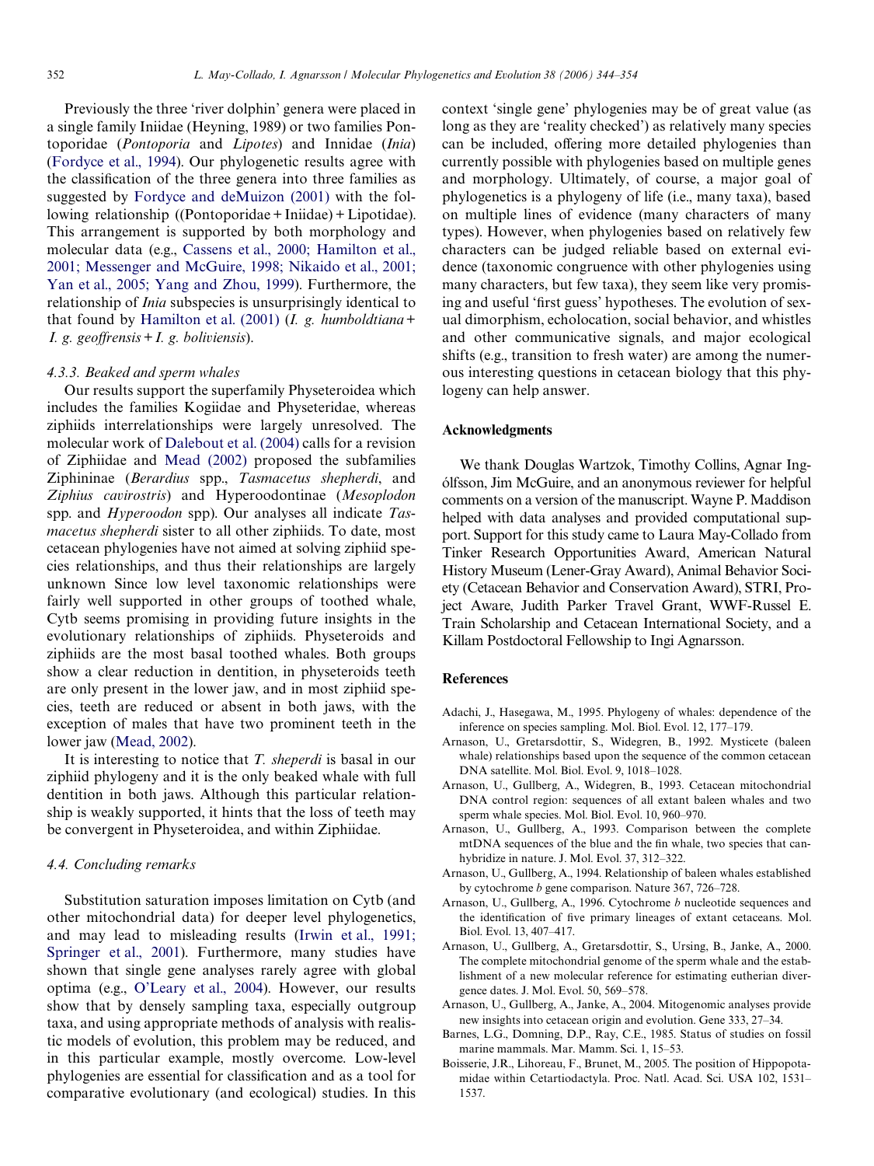Previously the three 'river dolphin' genera were placed in a single family Iniidae (Heyning, 1989) or two families Pontoporidae (*Pontoporia* and *Lipotes*) and Innidae (*Inia*) [\(Fordyce et al., 1994\)](#page-9-28). Our phylogenetic results agree with the classification of the three genera into three families as suggested by [Fordyce and deMuizon \(2001\)](#page-9-29) with the following relationship ((Pontoporidae + Iniidae) + Lipotidae). This arrangement is supported by both morphology and molecular data (e.g., [Cassens et al., 2000; Hamilton et al.,](#page-9-3) [2001; Messenger and McGuire, 1998; Nikaido et al., 2001;](#page-9-3) [Yan et al., 2005; Yang and Zhou, 1999\)](#page-9-3). Furthermore, the relationship of *Inia* subspecies is unsurprisingly identical to that found by [Hamilton et al. \(2001\)](#page-9-30) (*I. g. humboldtiana*+ *I. g. geoffrensis* + *I. g. boliviensis*).

#### *4.3.3. Beaked and sperm whales*

Our results support the superfamily Physeteroidea which includes the families Kogiidae and Physeteridae, whereas ziphiids interrelationships were largely unresolved. The molecular work of [Dalebout et al. \(2004\)](#page-9-31) calls for a revision of Ziphiidae and [Mead \(2002\)](#page-9-9) proposed the subfamilies Ziphininae (*Berardius* spp., *Tasmacetus shepherdi*, and *Ziphius cavirostris*) and Hyperoodontinae (*Mesoplodon* spp. and *Hyperoodon* spp). Our analyses all indicate *Tasmacetus shepherdi* sister to all other ziphiids. To date, most cetacean phylogenies have not aimed at solving ziphiid species relationships, and thus their relationships are largely unknown Since low level taxonomic relationships were fairly well supported in other groups of toothed whale, Cytb seems promising in providing future insights in the evolutionary relationships of ziphiids. Physeteroids and ziphiids are the most basal toothed whales. Both groups show a clear reduction in dentition, in physeteroids teeth are only present in the lower jaw, and in most ziphiid species, teeth are reduced or absent in both jaws, with the exception of males that have two prominent teeth in the lower jaw ([Mead, 2002](#page-9-9)).

It is interesting to notice that *T. sheperdi* is basal in our ziphiid phylogeny and it is the only beaked whale with full dentition in both jaws. Although this particular relationship is weakly supported, it hints that the loss of teeth may be convergent in Physeteroidea, and within Ziphiidae.

#### *4.4. Concluding remarks*

Substitution saturation imposes limitation on Cytb (and other mitochondrial data) for deeper level phylogenetics, and may lead to misleading results ([Irwin et al., 1991;](#page-9-4) [Springer et al., 2001\)](#page-9-4). Furthermore, many studies have shown that single gene analyses rarely agree with global optima (e.g., [O'Leary et al., 2004](#page-10-12)). However, our results show that by densely sampling taxa, especially outgroup taxa, and using appropriate methods of analysis with realistic models of evolution, this problem may be reduced, and in this particular example, mostly overcome. Low-level phylogenies are essential for classification and as a tool for comparative evolutionary (and ecological) studies. In this context 'single gene' phylogenies may be of great value (as long as they are 'reality checked') as relatively many species can be included, offering more detailed phylogenies than currently possible with phylogenies based on multiple genes and morphology. Ultimately, of course, a major goal of phylogenetics is a phylogeny of life (i.e., many taxa), based on multiple lines of evidence (many characters of many types). However, when phylogenies based on relatively few characters can be judged reliable based on external evidence (taxonomic congruence with other phylogenies using many characters, but few taxa), they seem like very promising and useful 'first guess' hypotheses. The evolution of sexual dimorphism, echolocation, social behavior, and whistles and other communicative signals, and major ecological shifts (e.g., transition to fresh water) are among the numerous interesting questions in cetacean biology that this phylogeny can help answer.

## **Acknowledgments**

We thank Douglas Wartzok, Timothy Collins, Agnar Ingólfsson, Jim McGuire, and an anonymous reviewer for helpful comments on a version of the manuscript. Wayne P. Maddison helped with data analyses and provided computational support. Support for this study came to Laura May-Collado from Tinker Research Opportunities Award, American Natural History Museum (Lener-Gray Award), Animal Behavior Society (Cetacean Behavior and Conservation Award), STRI, Project Aware, Judith Parker Travel Grant, WWF-Russel E. Train Scholarship and Cetacean International Society, and a Killam Postdoctoral Fellowship to Ingi Agnarsson.

#### **References**

- <span id="page-8-6"></span>Adachi, J., Hasegawa, M., 1995. Phylogeny of whales: dependence of the inference on species sampling. Mol. Biol. Evol. 12, 177–179.
- <span id="page-8-2"></span>Arnason, U., Gretarsdottir, S., Widegren, B., 1992. Mysticete (baleen whale) relationships based upon the sequence of the common cetacean DNA satellite. Mol. Biol. Evol. 9, 1018–1028.
- Arnason, U., Gullberg, A., Widegren, B., 1993. Cetacean mitochondrial DNA control region: sequences of all extant baleen whales and two sperm whale species. Mol. Biol. Evol. 10, 960–970.
- Arnason, U., Gullberg, A., 1993. Comparison between the complete mtDNA sequences of the blue and the fin whale, two species that canhybridize in nature. J. Mol. Evol. 37, 312–322.
- <span id="page-8-3"></span>Arnason, U., Gullberg, A., 1994. Relationship of baleen whales established by cytochrome *b* gene comparison. Nature 367, 726–728.
- <span id="page-8-5"></span>Arnason, U., Gullberg, A., 1996. Cytochrome *b* nucleotide sequences and the identification of five primary lineages of extant cetaceans. Mol. Biol. Evol. 13, 407–417.
- <span id="page-8-4"></span>Arnason, U., Gullberg, A., Gretarsdottir, S., Ursing, B., Janke, A., 2000. The complete mitochondrial genome of the sperm whale and the establishment of a new molecular reference for estimating eutherian divergence dates. J. Mol. Evol. 50, 569–578.
- <span id="page-8-0"></span>Arnason, U., Gullberg, A., Janke, A., 2004. Mitogenomic analyses provide new insights into cetacean origin and evolution. Gene 333, 27–34.
- <span id="page-8-1"></span>Barnes, L.G., Domning, D.P., Ray, C.E., 1985. Status of studies on fossil marine mammals. Mar. Mamm. Sci. 1, 15–53.
- Boisserie, J.R., Lihoreau, F., Brunet, M., 2005. The position of Hippopotamidae within Cetartiodactyla. Proc. Natl. Acad. Sci. USA 102, 1531– 1537.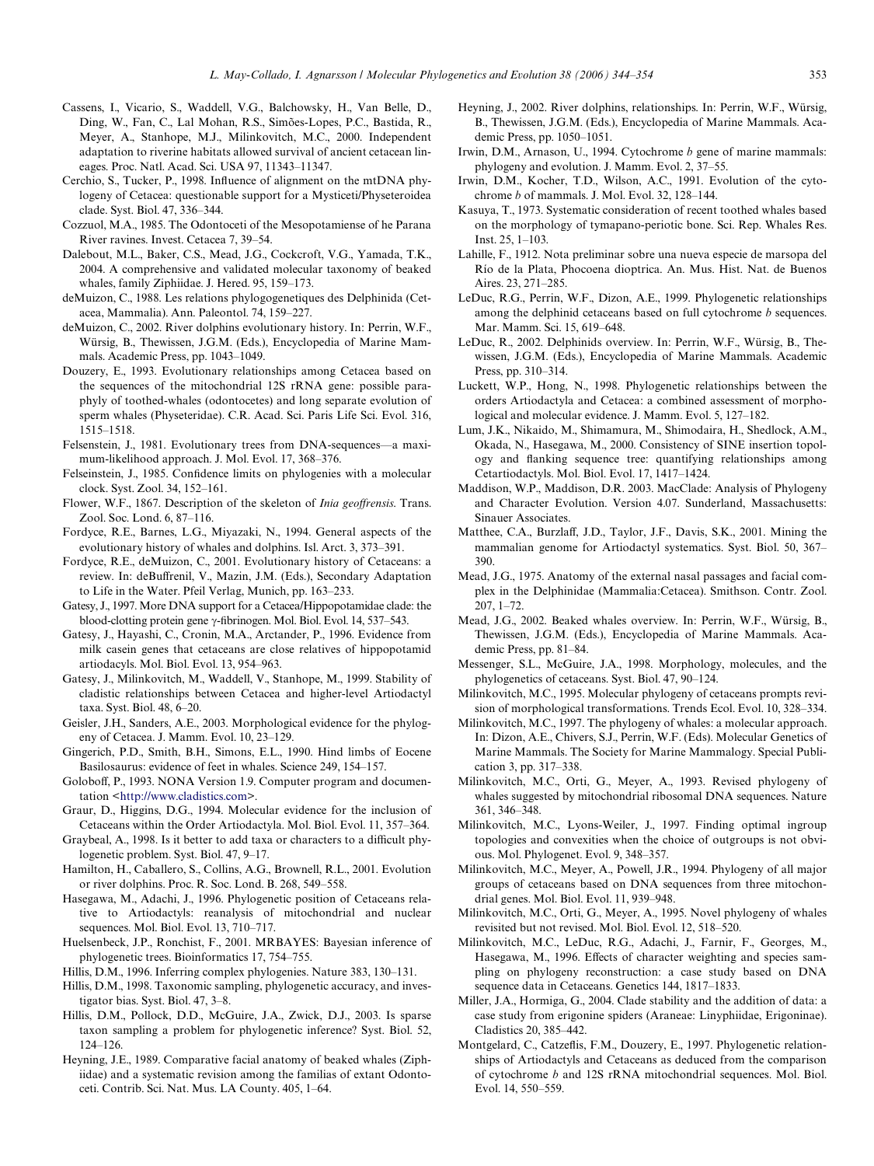- <span id="page-9-3"></span>Cassens, I., Vicario, S., Waddell, V.G., Balchowsky, H., Van Belle, D., Ding, W., Fan, C., Lal Mohan, R.S., Simões-Lopes, P.C., Bastida, R., Meyer, A., Stanhope, M.J., Milinkovitch, M.C., 2000. Independent adaptation to riverine habitats allowed survival of ancient cetacean lineages. Proc. Natl. Acad. Sci. USA 97, 11343–11347.
- <span id="page-9-1"></span>Cerchio, S., Tucker, P., 1998. Influence of alignment on the mtDNA phylogeny of Cetacea: questionable support for a Mysticeti/Physeteroidea clade. Syst. Biol. 47, 336–344.
- Cozzuol, M.A., 1985. The Odontoceti of the Mesopotamiense of he Parana River ravines. Invest. Cetacea 7, 39–54.
- <span id="page-9-31"></span>Dalebout, M.L., Baker, C.S., Mead, J.G., Cockcroft, V.G., Yamada, T.K., 2004. A comprehensive and validated molecular taxonomy of beaked whales, family Ziphiidae. J. Hered. 95, 159–173.
- deMuizon, C., 1988. Les relations phylogogenetiques des Delphinida (Cetacea, Mammalia). Ann. Paleontol. 74, 159–227.
- <span id="page-9-26"></span>deMuizon, C., 2002. River dolphins evolutionary history. In: Perrin, W.F., Würsig, B., Thewissen, J.G.M. (Eds.), Encyclopedia of Marine Mammals. Academic Press, pp. 1043–1049.
- Douzery, E., 1993. Evolutionary relationships among Cetacea based on the sequences of the mitochondrial 12S rRNA gene: possible paraphyly of toothed-whales (odontocetes) and long separate evolution of sperm whales (Physeteridae). C.R. Acad. Sci. Paris Life Sci. Evol. 316, 1515–1518.
- <span id="page-9-24"></span>Felsenstein, J., 1981. Evolutionary trees from DNA-sequences—a maximum-likelihood approach. J. Mol. Evol. 17, 368–376.
- <span id="page-9-21"></span>Felseinstein, J., 1985. Confidence limits on phylogenies with a molecular clock. Syst. Zool. 34, 152–161.
- Flower, W.F., 1867. Description of the skeleton of *Inia geoffrensis*. Trans. Zool. Soc. Lond. 6, 87–116.
- <span id="page-9-28"></span>Fordyce, R.E., Barnes, L.G., Miyazaki, N., 1994. General aspects of the evolutionary history of whales and dolphins. Isl. Arct. 3, 373–391.
- <span id="page-9-29"></span>Fordyce, R.E., deMuizon, C., 2001. Evolutionary history of Cetaceans: a review. In: deBuffrenil, V., Mazin, J.M. (Eds.), Secondary Adaptation to Life in the Water. Pfeil Verlag, Munich, pp. 163–233.
- <span id="page-9-7"></span>Gatesy, J., 1997. More DNA support for a Cetacea/Hippopotamidae clade: the blood-clotting protein gene y-fibrinogen. Mol. Biol. Evol. 14, 537-543.
- Gatesy, J., Hayashi, C., Cronin, M.A., Arctander, P., 1996. Evidence from milk casein genes that cetaceans are close relatives of hippopotamid artiodacyls. Mol. Biol. Evol. 13, 954–963.
- <span id="page-9-11"></span>Gatesy, J., Milinkovitch, M., Waddell, V., Stanhope, M., 1999. Stability of cladistic relationships between Cetacea and higher-level Artiodactyl taxa. Syst. Biol. 48, 6–20.
- <span id="page-9-10"></span>Geisler, J.H., Sanders, A.E., 2003. Morphological evidence for the phylogeny of Cetacea. J. Mamm. Evol. 10, 23–129.
- Gingerich, P.D., Smith, B.H., Simons, E.L., 1990. Hind limbs of Eocene Basilosaurus: evidence of feet in whales. Science 249, 154–157.
- <span id="page-9-18"></span>Goloboff, P., 1993. NONA Version 1.9. Computer program and documentation <<http://www.cladistics.com>>.
- <span id="page-9-6"></span>Graur, D., Higgins, D.G., 1994. Molecular evidence for the inclusion of Cetaceans within the Order Artiodactyla. Mol. Biol. Evol. 11, 357–364.
- <span id="page-9-13"></span>Graybeal, A., 1998. Is it better to add taxa or characters to a difficult phylogenetic problem. Syst. Biol. 47, 9–17.
- <span id="page-9-30"></span>Hamilton, H., Caballero, S., Collins, A.G., Brownell, R.L., 2001. Evolution or river dolphins. Proc. R. Soc. Lond. B. 268, 549–558.
- Hasegawa, M., Adachi, J., 1996. Phylogenetic position of Cetaceans relative to Artiodactyls: reanalysis of mitochondrial and nuclear sequences. Mol. Biol. Evol. 13, 710–717.
- <span id="page-9-17"></span>Huelsenbeck, J.P., Ronchist, F., 2001. MRBAYES: Bayesian inference of phylogenetic trees. Bioinformatics 17, 754–755.
- Hillis, D.M., 1996. Inferring complex phylogenies. Nature 383, 130–131.
- Hillis, D.M., 1998. Taxonomic sampling, phylogenetic accuracy, and investigator bias. Syst. Biol. 47, 3–8.
- <span id="page-9-23"></span>Hillis, D.M., Pollock, D.D., McGuire, J.A., Zwick, D.J., 2003. Is sparse taxon sampling a problem for phylogenetic inference? Syst. Biol. 52, 124–126.
- <span id="page-9-27"></span>Heyning, J.E., 1989. Comparative facial anatomy of beaked whales (Ziphiidae) and a systematic revision among the familias of extant Odontoceti. Contrib. Sci. Nat. Mus. LA County. 405, 1–64.
- Heyning, J., 2002. River dolphins, relationships. In: Perrin, W.F., Würsig, B., Thewissen, J.G.M. (Eds.), Encyclopedia of Marine Mammals. Academic Press, pp. 1050–1051.
- <span id="page-9-4"></span>Irwin, D.M., Arnason, U., 1994. Cytochrome *b* gene of marine mammals: phylogeny and evolution. J. Mamm. Evol. 2, 37–55.
- <span id="page-9-25"></span>Irwin, D.M., Kocher, T.D., Wilson, A.C., 1991. Evolution of the cytochrome *b* of mammals. J. Mol. Evol. 32, 128–144.
- <span id="page-9-22"></span>Kasuya, T., 1973. Systematic consideration of recent toothed whales based on the morphology of tymapano-periotic bone. Sci. Rep. Whales Res. Inst. 25, 1–103.
- Lahille, F., 1912. Nota preliminar sobre una nueva especie de marsopa del Río de la Plata, Phocoena dioptrica. An. Mus. Hist. Nat. de Buenos Aires. 23, 271–285.
- <span id="page-9-0"></span>LeDuc, R.G., Perrin, W.F., Dizon, A.E., 1999. Phylogenetic relationships among the delphinid cetaceans based on full cytochrome *b* sequences. Mar. Mamm. Sci. 15, 619–648.
- LeDuc, R., 2002. Delphinids overview. In: Perrin, W.F., Würsig, B., Thewissen, J.G.M. (Eds.), Encyclopedia of Marine Mammals. Academic Press, pp. 310–314.
- <span id="page-9-16"></span>Luckett, W.P., Hong, N., 1998. Phylogenetic relationships between the orders Artiodactyla and Cetacea: a combined assessment of morphological and molecular evidence. J. Mamm. Evol. 5, 127–182.
- <span id="page-9-12"></span>Lum, J.K., Nikaido, M., Shimamura, M., Shimodaira, H., Shedlock, A.M., Okada, N., Hasegawa, M., 2000. Consistency of SINE insertion topology and flanking sequence tree: quantifying relationships among Cetartiodactyls. Mol. Biol. Evol. 17, 1417–1424.
- Maddison, W.P., Maddison, D.R. 2003. MacClade: Analysis of Phylogeny and Character Evolution. Version 4.07. Sunderland, Massachusetts: Sinauer Associates.
- <span id="page-9-9"></span>Matthee, C.A., Burzlaff, J.D., Taylor, J.F., Davis, S.K., 2001. Mining the mammalian genome for Artiodactyl systematics. Syst. Biol. 50, 367– 390.
- <span id="page-9-14"></span>Mead, J.G., 1975. Anatomy of the external nasal passages and facial complex in the Delphinidae (Mammalia:Cetacea). Smithson. Contr. Zool. 207, 1–72.
- Mead, J.G., 2002. Beaked whales overview. In: Perrin, W.F., Würsig, B., Thewissen, J.G.M. (Eds.), Encyclopedia of Marine Mammals. Academic Press, pp. 81–84.
- <span id="page-9-8"></span>Messenger, S.L., McGuire, J.A., 1998. Morphology, molecules, and the phylogenetics of cetaceans. Syst. Biol. 47, 90–124.
- <span id="page-9-2"></span>Milinkovitch, M.C., 1995. Molecular phylogeny of cetaceans prompts revision of morphological transformations. Trends Ecol. Evol. 10, 328–334.
- Milinkovitch, M.C., 1997. The phylogeny of whales: a molecular approach. In: Dizon, A.E., Chivers, S.J., Perrin, W.F. (Eds). Molecular Genetics of Marine Mammals. The Society for Marine Mammalogy. Special Publication 3, pp. 317–338.
- <span id="page-9-20"></span>Milinkovitch, M.C., Orti, G., Meyer, A., 1993. Revised phylogeny of whales suggested by mitochondrial ribosomal DNA sequences. Nature 361, 346–348.
- Milinkovitch, M.C., Lyons-Weiler, J., 1997. Finding optimal ingroup topologies and convexities when the choice of outgroups is not obvious. Mol. Phylogenet. Evol. 9, 348–357.
- <span id="page-9-19"></span>Milinkovitch, M.C., Meyer, A., Powell, J.R., 1994. Phylogeny of all major groups of cetaceans based on DNA sequences from three mitochondrial genes. Mol. Biol. Evol. 11, 939–948.
- Milinkovitch, M.C., Orti, G., Meyer, A., 1995. Novel phylogeny of whales revisited but not revised. Mol. Biol. Evol. 12, 518–520.
- <span id="page-9-5"></span>Milinkovitch, M.C., LeDuc, R.G., Adachi, J., Farnir, F., Georges, M., Hasegawa, M., 1996. Effects of character weighting and species sampling on phylogeny reconstruction: a case study based on DNA sequence data in Cetaceans. Genetics 144, 1817–1833.
- <span id="page-9-15"></span>Miller, J.A., Hormiga, G., 2004. Clade stability and the addition of data: a case study from erigonine spiders (Araneae: Linyphiidae, Erigoninae). Cladistics 20, 385–442.
- Montgelard, C., Catzeflis, F.M., Douzery, E., 1997. Phylogenetic relationships of Artiodactyls and Cetaceans as deduced from the comparison of cytochrome *b* and 12S rRNA mitochondrial sequences. Mol. Biol. Evol. 14, 550–559.